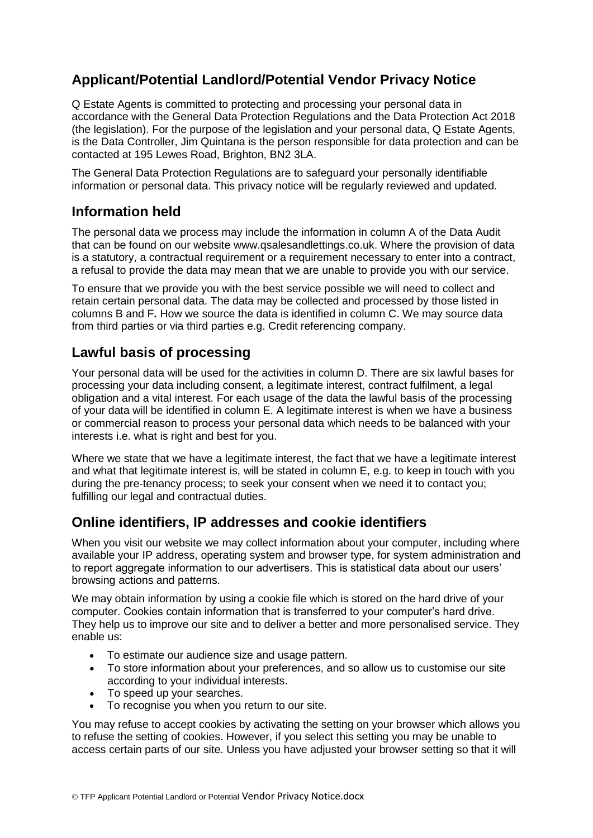# **Applicant/Potential Landlord/Potential Vendor Privacy Notice**

Q Estate Agents is committed to protecting and processing your personal data in accordance with the General Data Protection Regulations and the Data Protection Act 2018 (the legislation). For the purpose of the legislation and your personal data, Q Estate Agents, is the Data Controller, Jim Quintana is the person responsible for data protection and can be contacted at 195 Lewes Road, Brighton, BN2 3LA.

The General Data Protection Regulations are to safeguard your personally identifiable information or personal data. This privacy notice will be regularly reviewed and updated.

#### **Information held**

The personal data we process may include the information in column A of the Data Audit that can be found on our website www.qsalesandlettings.co.uk. Where the provision of data is a statutory, a contractual requirement or a requirement necessary to enter into a contract, a refusal to provide the data may mean that we are unable to provide you with our service.

To ensure that we provide you with the best service possible we will need to collect and retain certain personal data. The data may be collected and processed by those listed in columns B and F**.** How we source the data is identified in column C. We may source data from third parties or via third parties e.g. Credit referencing company.

## **Lawful basis of processing**

Your personal data will be used for the activities in column D. There are six lawful bases for processing your data including consent, a legitimate interest, contract fulfilment, a legal obligation and a vital interest. For each usage of the data the lawful basis of the processing of your data will be identified in column E. A legitimate interest is when we have a business or commercial reason to process your personal data which needs to be balanced with your interests i.e. what is right and best for you.

Where we state that we have a legitimate interest, the fact that we have a legitimate interest and what that legitimate interest is, will be stated in column E, e.g. to keep in touch with you during the pre-tenancy process; to seek your consent when we need it to contact you; fulfilling our legal and contractual duties.

## **Online identifiers, IP addresses and cookie identifiers**

When you visit our website we may collect information about your computer, including where available your IP address, operating system and browser type, for system administration and to report aggregate information to our advertisers. This is statistical data about our users' browsing actions and patterns.

We may obtain information by using a cookie file which is stored on the hard drive of your computer. Cookies contain information that is transferred to your computer's hard drive. They help us to improve our site and to deliver a better and more personalised service. They enable us:

- To estimate our audience size and usage pattern.
- To store information about your preferences, and so allow us to customise our site according to your individual interests.
- To speed up your searches.
- To recognise you when you return to our site.

You may refuse to accept cookies by activating the setting on your browser which allows you to refuse the setting of cookies. However, if you select this setting you may be unable to access certain parts of our site. Unless you have adjusted your browser setting so that it will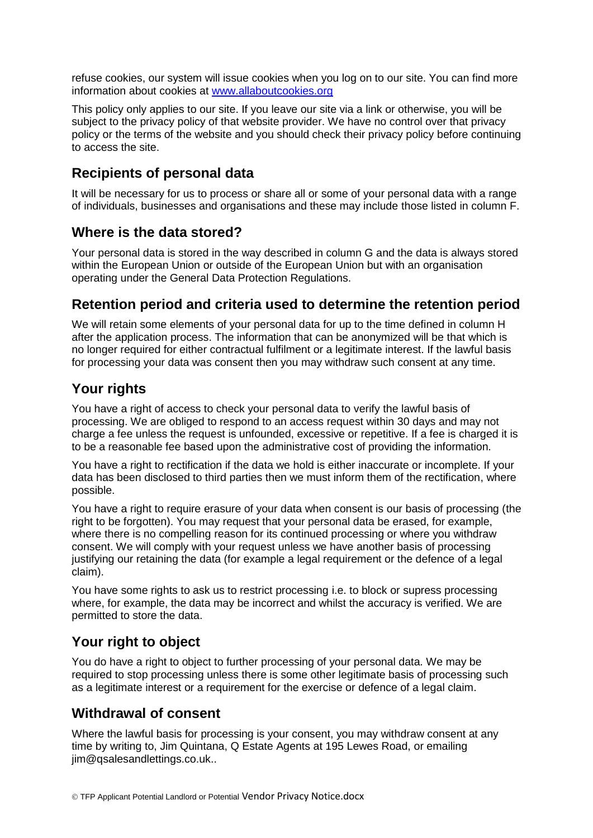refuse cookies, our system will issue cookies when you log on to our site. You can find more information about cookies at [www.allaboutcookies.org](http://www.allaboutcookies.org/)

This policy only applies to our site. If you leave our site via a link or otherwise, you will be subject to the privacy policy of that website provider. We have no control over that privacy policy or the terms of the website and you should check their privacy policy before continuing to access the site.

#### **Recipients of personal data**

It will be necessary for us to process or share all or some of your personal data with a range of individuals, businesses and organisations and these may include those listed in column F.

#### **Where is the data stored?**

Your personal data is stored in the way described in column G and the data is always stored within the European Union or outside of the European Union but with an organisation operating under the General Data Protection Regulations.

#### **Retention period and criteria used to determine the retention period**

We will retain some elements of your personal data for up to the time defined in column H after the application process. The information that can be anonymized will be that which is no longer required for either contractual fulfilment or a legitimate interest. If the lawful basis for processing your data was consent then you may withdraw such consent at any time.

### **Your rights**

You have a right of access to check your personal data to verify the lawful basis of processing. We are obliged to respond to an access request within 30 days and may not charge a fee unless the request is unfounded, excessive or repetitive. If a fee is charged it is to be a reasonable fee based upon the administrative cost of providing the information.

You have a right to rectification if the data we hold is either inaccurate or incomplete. If your data has been disclosed to third parties then we must inform them of the rectification, where possible.

You have a right to require erasure of your data when consent is our basis of processing (the right to be forgotten). You may request that your personal data be erased, for example, where there is no compelling reason for its continued processing or where you withdraw consent. We will comply with your request unless we have another basis of processing justifying our retaining the data (for example a legal requirement or the defence of a legal claim).

You have some rights to ask us to restrict processing i.e. to block or supress processing where, for example, the data may be incorrect and whilst the accuracy is verified. We are permitted to store the data.

#### **Your right to object**

You do have a right to object to further processing of your personal data. We may be required to stop processing unless there is some other legitimate basis of processing such as a legitimate interest or a requirement for the exercise or defence of a legal claim.

#### **Withdrawal of consent**

Where the lawful basis for processing is your consent, you may withdraw consent at any time by writing to, Jim Quintana, Q Estate Agents at 195 Lewes Road, or emailing iim@gsalesandlettings.co.uk..